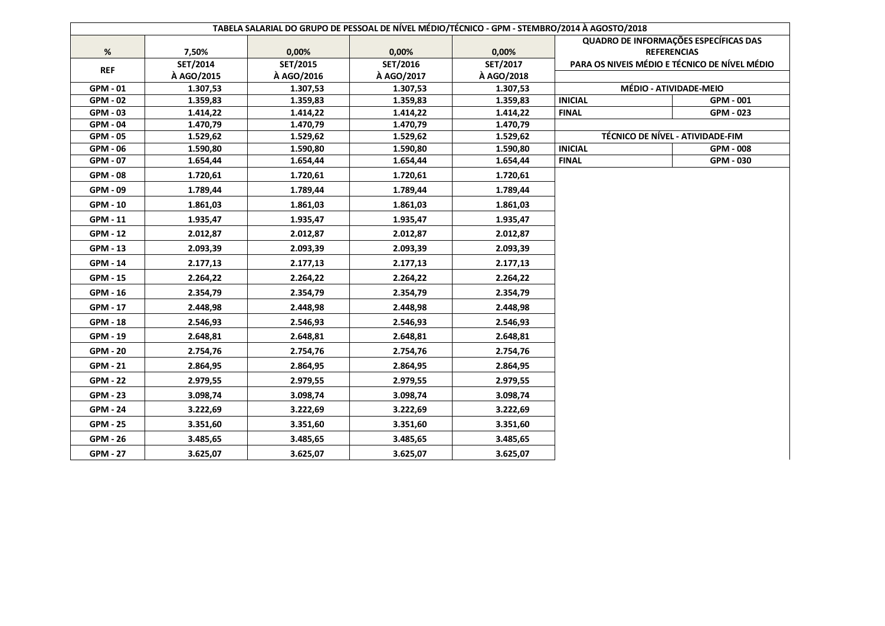|                 |            | TABELA SALARIAL DO GRUPO DE PESSOAL DE NÍVEL MÉDIO/TÉCNICO - GPM - STEMBRO/2014 À AGOSTO/2018 |            |            |                                       |                                               |
|-----------------|------------|-----------------------------------------------------------------------------------------------|------------|------------|---------------------------------------|-----------------------------------------------|
|                 |            |                                                                                               |            |            | QUADRO DE INFORMAÇÕES ESPECÍFICAS DAS |                                               |
| %               | 7,50%      | 0,00%                                                                                         | 0,00%      | 0,00%      | <b>REFERENCIAS</b>                    |                                               |
| <b>REF</b>      | SET/2014   | SET/2015                                                                                      | SET/2016   | SET/2017   |                                       | PARA OS NIVEIS MÉDIO E TÉCNICO DE NÍVEL MÉDIO |
|                 | À AGO/2015 | À AGO/2016                                                                                    | À AGO/2017 | À AGO/2018 |                                       |                                               |
| GPM - 01        | 1.307,53   | 1.307,53                                                                                      | 1.307,53   | 1.307,53   |                                       | MÉDIO - ATIVIDADE-MEIO                        |
| <b>GPM - 02</b> | 1.359,83   | 1.359,83                                                                                      | 1.359,83   | 1.359,83   | <b>INICIAL</b>                        | GPM - 001                                     |
| <b>GPM - 03</b> | 1.414,22   | 1.414,22                                                                                      | 1.414,22   | 1.414,22   | <b>FINAL</b>                          | GPM - 023                                     |
| GPM - 04        | 1.470,79   | 1.470,79                                                                                      | 1.470,79   | 1.470,79   |                                       |                                               |
| <b>GPM - 05</b> | 1.529,62   | 1.529,62                                                                                      | 1.529,62   | 1.529,62   |                                       | TÉCNICO DE NÍVEL - ATIVIDADE-FIM              |
| GPM - 06        | 1.590,80   | 1.590,80                                                                                      | 1.590,80   | 1.590,80   | <b>INICIAL</b>                        | GPM - 008                                     |
| GPM - 07        | 1.654,44   | 1.654,44                                                                                      | 1.654,44   | 1.654,44   | <b>FINAL</b>                          | GPM - 030                                     |
| <b>GPM - 08</b> | 1.720,61   | 1.720,61                                                                                      | 1.720,61   | 1.720,61   |                                       |                                               |
| GPM - 09        | 1.789,44   | 1.789,44                                                                                      | 1.789,44   | 1.789,44   |                                       |                                               |
| <b>GPM - 10</b> | 1.861,03   | 1.861,03                                                                                      | 1.861,03   | 1.861,03   |                                       |                                               |
| GPM - 11        | 1.935,47   | 1.935,47                                                                                      | 1.935,47   | 1.935,47   |                                       |                                               |
| <b>GPM - 12</b> | 2.012,87   | 2.012,87                                                                                      | 2.012,87   | 2.012,87   |                                       |                                               |
| GPM - 13        | 2.093,39   | 2.093,39                                                                                      | 2.093,39   | 2.093,39   |                                       |                                               |
| GPM - 14        | 2.177,13   | 2.177,13                                                                                      | 2.177,13   | 2.177,13   |                                       |                                               |
| <b>GPM - 15</b> | 2.264,22   | 2.264,22                                                                                      | 2.264,22   | 2.264,22   |                                       |                                               |
| GPM - 16        | 2.354,79   | 2.354,79                                                                                      | 2.354,79   | 2.354,79   |                                       |                                               |
| GPM - 17        | 2.448,98   | 2.448,98                                                                                      | 2.448,98   | 2.448,98   |                                       |                                               |
| <b>GPM - 18</b> | 2.546,93   | 2.546,93                                                                                      | 2.546,93   | 2.546,93   |                                       |                                               |
| GPM - 19        | 2.648,81   | 2.648,81                                                                                      | 2.648,81   | 2.648,81   |                                       |                                               |
| <b>GPM - 20</b> | 2.754,76   | 2.754,76                                                                                      | 2.754,76   | 2.754,76   |                                       |                                               |
| <b>GPM - 21</b> | 2.864,95   | 2.864,95                                                                                      | 2.864,95   | 2.864,95   |                                       |                                               |
| <b>GPM - 22</b> | 2.979,55   | 2.979,55                                                                                      | 2.979,55   | 2.979,55   |                                       |                                               |
| <b>GPM - 23</b> | 3.098,74   | 3.098,74                                                                                      | 3.098,74   | 3.098,74   |                                       |                                               |
| <b>GPM - 24</b> | 3.222,69   | 3.222,69                                                                                      | 3.222,69   | 3.222,69   |                                       |                                               |
| <b>GPM - 25</b> | 3.351,60   | 3.351,60                                                                                      | 3.351,60   | 3.351,60   |                                       |                                               |
| <b>GPM - 26</b> | 3.485,65   | 3.485,65                                                                                      | 3.485,65   | 3.485,65   |                                       |                                               |
| <b>GPM - 27</b> | 3.625,07   | 3.625,07                                                                                      | 3.625,07   | 3.625,07   |                                       |                                               |